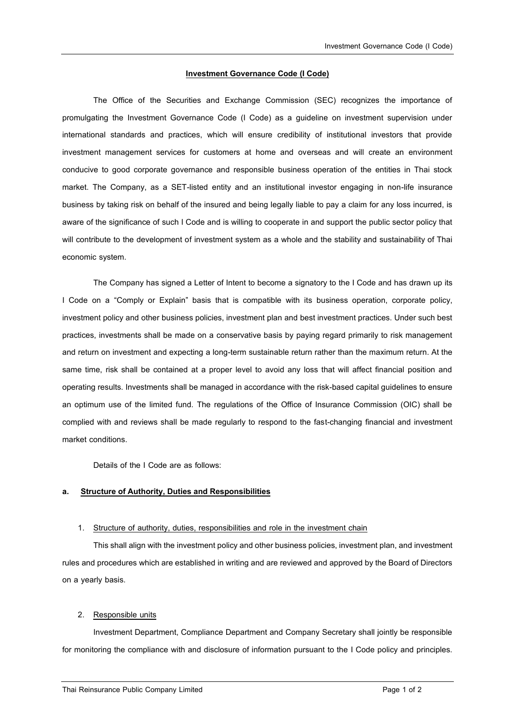### **Investment Governance Code (I Code)**

The Office of the Securities and Exchange Commission (SEC) recognizes the importance of promulgating the Investment Governance Code (I Code) as a guideline on investment supervision under international standards and practices, which will ensure credibility of institutional investors that provide investment management services for customers at home and overseas and will create an environment conducive to good corporate governance and responsible business operation of the entities in Thai stock market. The Company, as a SET-listed entity and an institutional investor engaging in non-life insurance business by taking risk on behalf of the insured and being legally liable to pay a claim for any loss incurred, is aware of the significance of such I Code and is willing to cooperate in and support the public sector policy that will contribute to the development of investment system as a whole and the stability and sustainability of Thai economic system.

The Company has signed a Letter of Intent to become a signatory to the I Code and has drawn up its I Code on a "Comply or Explain" basis that is compatible with its business operation, corporate policy, investment policy and other business policies, investment plan and best investment practices. Under such best practices, investments shall be made on a conservative basis by paying regard primarily to risk management and return on investment and expecting a long-term sustainable return rather than the maximum return. At the same time, risk shall be contained at a proper level to avoid any loss that will affect financial position and operating results. Investments shall be managed in accordance with the risk-based capital guidelines to ensure an optimum use of the limited fund. The regulations of the Office of Insurance Commission (OIC) shall be complied with and reviews shall be made regularly to respond to the fast-changing financial and investment market conditions.

Details of the I Code are as follows:

## **a. Structure of Authority, Duties and Responsibilities**

#### 1. Structure of authority, duties, responsibilities and role in the investment chain

This shall align with the investment policy and other business policies, investment plan, and investment rules and procedures which are established in writing and are reviewed and approved by the Board of Directors on a yearly basis.

#### 2. Responsible units

Investment Department, Compliance Department and Company Secretary shall jointly be responsible for monitoring the compliance with and disclosure of information pursuant to the I Code policy and principles.